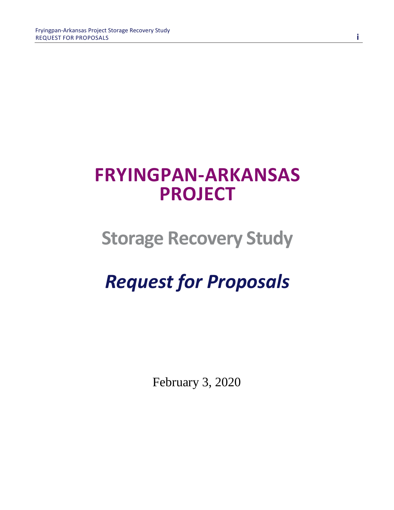# **FRYINGPAN-ARKANSAS PROJECT**

# **Storage Recovery Study**

# *Request for Proposals*

February 3, 2020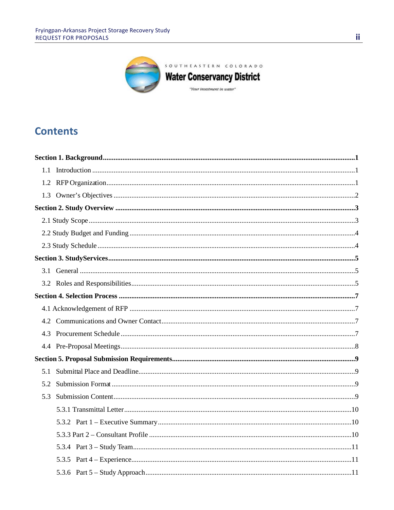

# **Contents**

| 5.1 |  |
|-----|--|
| 5.2 |  |
|     |  |
|     |  |
|     |  |
|     |  |
|     |  |
|     |  |
|     |  |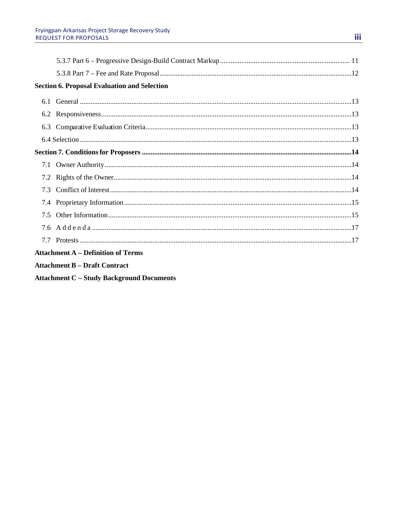|     | <b>Section 6. Proposal Evaluation and Selection</b> |  |
|-----|-----------------------------------------------------|--|
|     |                                                     |  |
|     |                                                     |  |
|     |                                                     |  |
|     |                                                     |  |
|     |                                                     |  |
|     |                                                     |  |
|     |                                                     |  |
| 7.3 |                                                     |  |
|     |                                                     |  |
|     |                                                     |  |
|     |                                                     |  |
|     |                                                     |  |
|     | <b>Attachment A - Definition of Terms</b>           |  |

- **Attachment B Draft Contract**
- **Attachment C Study Background Documents**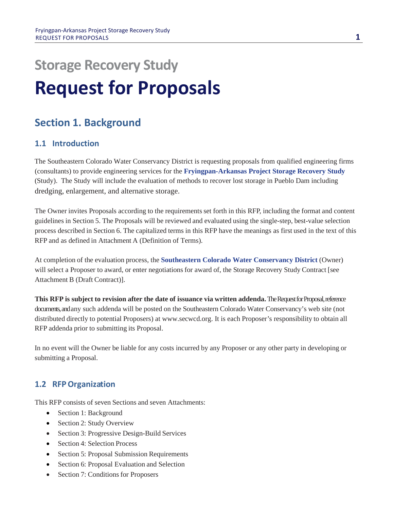# **Storage Recovery Study Request for Proposals**

# **Section 1. Background**

# **1.1 Introduction**

The Southeastern Colorado Water Conservancy District is requesting proposals from qualified engineering firms (consultants) to provide engineering services for the **Fryingpan-Arkansas Project Storage Recovery Study** (Study). The Study will include the evaluation of methods to recover lost storage in Pueblo Dam including dredging, enlargement, and alternative storage.

The Owner invites Proposals according to the requirements set forth in this RFP, including the format and content guidelines in Section 5. The Proposals will be reviewed and evaluated using the single-step, best-value selection process described in Section 6. The capitalized terms in this RFP have the meanings as first used in the text of this RFP and as defined in Attachment A (Definition of Terms).

At completion of the evaluation process, the **Southeastern Colorado Water Conservancy District** (Owner) will select a Proposer to award, or enter negotiations for award of, the Storage Recovery Study Contract [see Attachment B (Draft Contract)].

**This RFP is subject to revision after the date of issuance via written addenda.**The Request for Proposal,reference documents, and any such addenda will be posted on the Southeastern Colorado Water Conservancy's web site (not distributed directly to potential Proposers) at www.secwcd.org. It is each Proposer's responsibility to obtain all RFP addenda prior to submitting its Proposal.

In no event will the Owner be liable for any costs incurred by any Proposer or any other party in developing or submitting a Proposal.

# **1.2 RFPOrganization**

This RFP consists of seven Sections and seven Attachments:

- Section 1: Background
- Section 2: Study Overview
- Section 3: Progressive Design-Build Services
- Section 4: Selection Process
- Section 5: Proposal Submission Requirements
- Section 6: Proposal Evaluation and Selection
- Section 7: Conditions for Proposers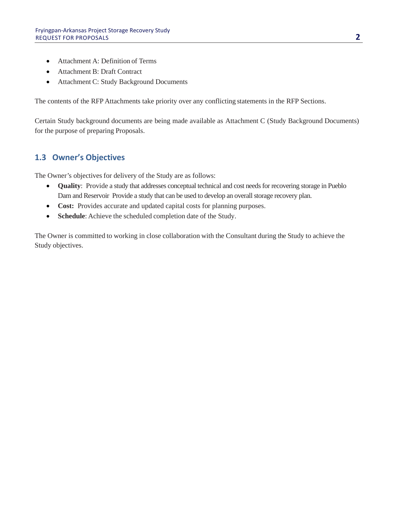- Attachment A: Definition of Terms
- Attachment B: Draft Contract
- Attachment C: Study Background Documents

The contents of the RFP Attachments take priority over any conflicting statements in the RFP Sections.

Certain Study background documents are being made available as Attachment C (Study Background Documents) for the purpose of preparing Proposals.

# **1.3 Owner's Objectives**

The Owner's objectives for delivery of the Study are as follows:

- **Quality**: Provide a study that addresses conceptual technical and cost needs for recovering storage in Pueblo Dam and Reservoir Provide a study that can be used to develop an overall storage recovery plan.
- **Cost:** Provides accurate and updated capital costs for planning purposes.
- **Schedule**: Achieve the scheduled completion date of the Study.

The Owner is committed to working in close collaboration with the Consultant during the Study to achieve the Study objectives.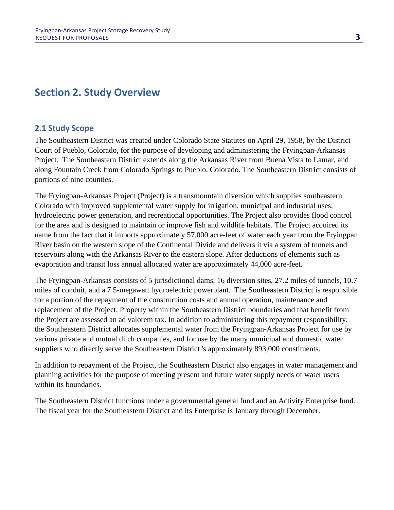# **Section 2. Study Overview**

# **2.1 Study Scope**

The Southeastern District was created under Colorado State Statutes on April 29, 1958, by the District Court of Pueblo, Colorado, for the purpose of developing and administering the Fryingpan-Arkansas Project. The Southeastern District extends along the Arkansas River from Buena Vista to Lamar, and along Fountain Creek from Colorado Springs to Pueblo, Colorado. The Southeastern District consists of portions of nine counties.

The Fryingpan-Arkansas Project (Project) is a transmountain diversion which supplies southeastern Colorado with improved supplemental water supply for irrigation, municipal and industrial uses, hydroelectric power generation, and recreational opportunities. The Project also provides flood control for the area and is designed to maintain or improve fish and wildlife habitats. The Project acquired its name from the fact that it imports approximately 57,000 acre-feet of water each year from the Fryingpan River basin on the western slope of the Continental Divide and delivers it via a system of tunnels and reservoirs along with the Arkansas River to the eastern slope. After deductions of elements such as evaporation and transit loss annual allocated water are approximately 44,000 acre-feet.

The Fryingpan-Arkansas consists of 5 jurisdictional dams, 16 diversion sites, 27.2 miles of tunnels, 10.7 miles of conduit, and a 7.5-megawatt hydroelectric powerplant. The Southeastern District is responsible for a portion of the repayment of the construction costs and annual operation, maintenance and replacement of the Project. Property within the Southeastern District boundaries and that benefit from the Project are assessed an ad valorem tax. In addition to administering this repayment responsibility, the Southeastern District allocates supplemental water from the Fryingpan-Arkansas Project for use by various private and mutual ditch companies, and for use by the many municipal and domestic water suppliers who directly serve the Southeastern District 's approximately 893,000 constituents.

In addition to repayment of the Project, the Southeastern District also engages in water management and planning activities for the purpose of meeting present and future water supply needs of water users within its boundaries.

The Southeastern District functions under a governmental general fund and an Activity Enterprise fund. The fiscal year for the Southeastern District and its Enterprise is January through December.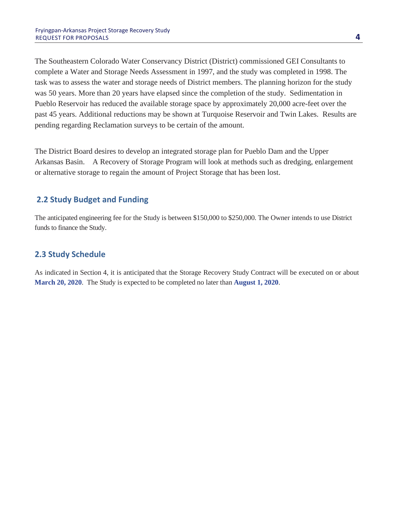The Southeastern Colorado Water Conservancy District (District) commissioned GEI Consultants to complete a Water and Storage Needs Assessment in 1997, and the study was completed in 1998. The task was to assess the water and storage needs of District members. The planning horizon for the study was 50 years. More than 20 years have elapsed since the completion of the study. Sedimentation in Pueblo Reservoir has reduced the available storage space by approximately 20,000 acre-feet over the past 45 years. Additional reductions may be shown at Turquoise Reservoir and Twin Lakes. Results are pending regarding Reclamation surveys to be certain of the amount.

The District Board desires to develop an integrated storage plan for Pueblo Dam and the Upper Arkansas Basin. A Recovery of Storage Program will look at methods such as dredging, enlargement or alternative storage to regain the amount of Project Storage that has been lost.

## **2.2 Study Budget and Funding**

The anticipated engineering fee for the Study is between \$150,000 to \$250,000. The Owner intends to use District funds to finance the Study.

## **2.3 Study Schedule**

As indicated in Section 4, it is anticipated that the Storage Recovery Study Contract will be executed on or about **March 20, 2020**. The Study is expected to be completed no later than **August 1, 2020**.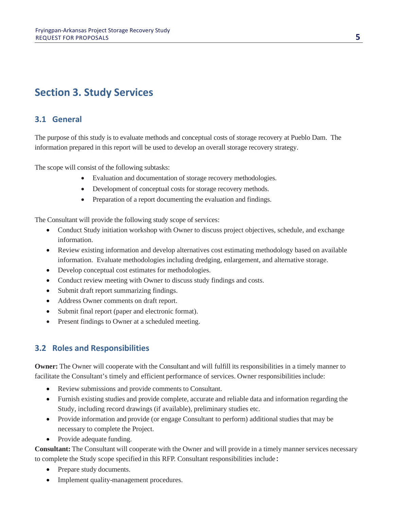# **Section 3. Study Services**

# **3.1 General**

The purpose of this study is to evaluate methods and conceptual costs of storage recovery at Pueblo Dam. The information prepared in this report will be used to develop an overall storage recovery strategy.

The scope will consist of the following subtasks:

- Evaluation and documentation of storage recovery methodologies.
- Development of conceptual costs for storage recovery methods.
- Preparation of a report documenting the evaluation and findings.

The Consultant will provide the following study scope of services:

- Conduct Study initiation workshop with Owner to discuss project objectives, schedule, and exchange information.
- Review existing information and develop alternatives cost estimating methodology based on available information. Evaluate methodologies including dredging, enlargement, and alternative storage.
- Develop conceptual cost estimates for methodologies.
- Conduct review meeting with Owner to discuss study findings and costs.
- Submit draft report summarizing findings.
- Address Owner comments on draft report.
- Submit final report (paper and electronic format).
- Present findings to Owner at a scheduled meeting.

# **3.2 Roles and Responsibilities**

**Owner:** The Owner will cooperate with the Consultant and will fulfill its responsibilities in a timely manner to facilitate the Consultant's timely and efficient performance of services. Owner responsibilities include:

- Review submissions and provide comments to Consultant.
- Furnish existing studies and provide complete, accurate and reliable data and information regarding the Study, including record drawings (if available), preliminary studies etc.
- Provide information and provide (or engage Consultant to perform) additional studies that may be necessary to complete the Project.
- Provide adequate funding.

**Consultant:** The Consultant will cooperate with the Owner and will provide in a timely manner services necessary to complete the Study scope specified in this RFP. Consultant responsibilities include:

- Prepare study documents.
- Implement quality-management procedures.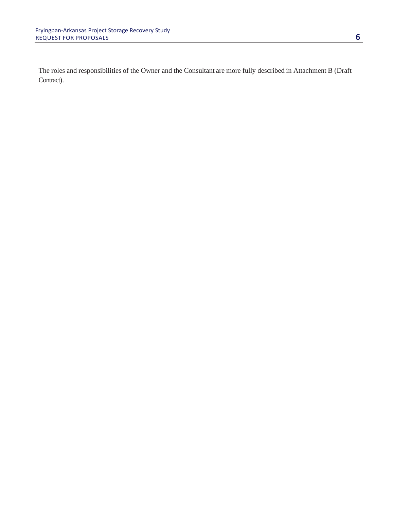The roles and responsibilities of the Owner and the Consultant are more fully described in Attachment B (Draft Contract).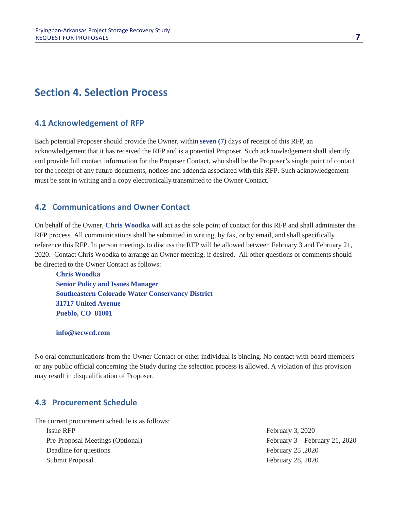# **Section 4. Selection Process**

#### **4.1 Acknowledgement of RFP**

Each potential Proposer should provide the Owner, within **seven (7)** days of receipt of this RFP, an acknowledgement that it has received the RFP and is a potential Proposer. Such acknowledgement shall identify and provide full contact information for the Proposer Contact, who shall be the Proposer's single point of contact for the receipt of any future documents, notices and addenda associated with this RFP. Such acknowledgement must be sent in writing and a copy electronically transmitted to the Owner Contact.

## **4.2 Communications and Owner Contact**

On behalf of the Owner, **Chris Woodka** will act as the sole point of contact for this RFP and shall administer the RFP process. All communications shall be submitted in writing, by fax, or by email, and shall specifically reference this RFP. In person meetings to discuss the RFP will be allowed between February 3 and February 21, 2020. Contact Chris Woodka to arrange an Owner meeting, if desired. All other questions or comments should be directed to the Owner Contact as follows:

**Chris Woodka Senior Policy and Issues Manager Southeastern Colorado Water Conservancy District 31717 United Avenue Pueblo, CO 81001**

#### **info@secwcd.com**

No oral communications from the Owner Contact or other individual is binding. No contact with board members or any public official concerning the Study during the selection process is allowed. A violation of this provision may result in disqualification of Proposer.

#### **4.3 Procurement Schedule**

The current procurement schedule is as follows:

Issue RFP February 3, 2020 Pre-Proposal Meetings (Optional) February 3 – February 21, 2020 Deadline for questions February 25, 2020 Submit Proposal February 28, 2020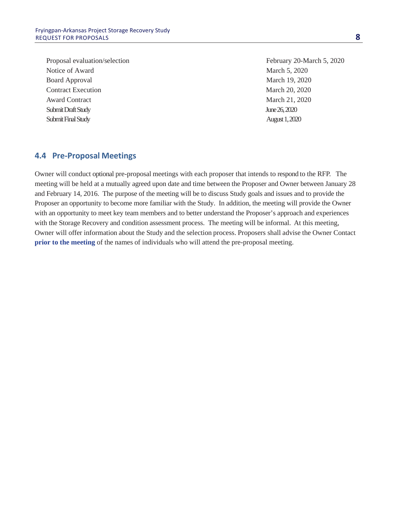Proposal evaluation/selection February 20-March 5, 2020 Notice of Award March 5, 2020 Board Approval March 19, 2020 Contract Execution March 20, 2020 Award Contract March 21, 2020 Submit DraftStudy June 26, 2020 Submit Final Study August1, 2020

#### **4.4 Pre-Proposal Meetings**

Owner will conduct optional pre-proposal meetings with each proposer that intends to respond to the RFP. The meeting will be held at a mutually agreed upon date and time between the Proposer and Owner between January 28 and February 14, 2016. The purpose of the meeting will be to discuss Study goals and issues and to provide the Proposer an opportunity to become more familiar with the Study. In addition, the meeting will provide the Owner with an opportunity to meet key team members and to better understand the Proposer's approach and experiences with the Storage Recovery and condition assessment process. The meeting will be informal. At this meeting, Owner will offer information about the Study and the selection process. Proposers shall advise the Owner Contact **prior to the meeting** of the names of individuals who will attend the pre-proposal meeting.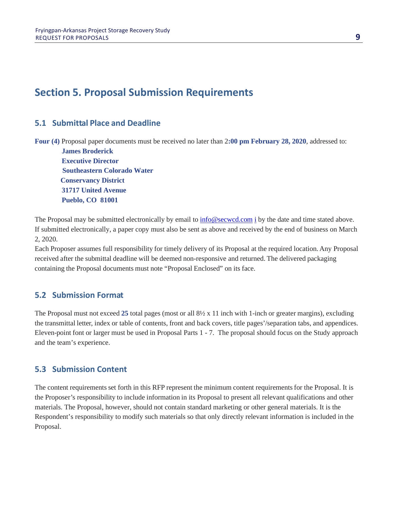# **Section 5. Proposal Submission Requirements**

## **5.1 Submittal Place and Deadline**

**Four (4)** Proposal paper documents must be received no later than 2**:00 pm February 28, 2020**, addressed to:

**James Broderick Executive Director Southeastern Colorado Water Conservancy District 31717 United Avenue Pueblo, CO 81001**

The Proposal may be subm[i](mailto:patty@secwcd.com)tted electronically by email to  $\frac{info@second.com}{if}$  by the date and time stated above. If submitted electronically, a paper copy must also be sent as above and received by the end of business on March 2, 2020.

Each Proposer assumes full responsibility for timely delivery of its Proposal at the required location. Any Proposal received after the submittal deadline will be deemed non-responsive and returned. The delivered packaging containing the Proposal documents must note "Proposal Enclosed" on its face.

## **5.2 Submission Format**

The Proposal must not exceed **25** total pages (most or all 8½ x 11 inch with 1-inch or greater margins), excluding the transmittal letter, index or table of contents, front and back covers, title pages'/separation tabs, and appendices. Eleven-point font or larger must be used in Proposal Parts 1 - 7. The proposal should focus on the Study approach and the team's experience.

## **5.3 Submission Content**

The content requirements set forth in this RFP represent the minimum content requirements for the Proposal. It is the Proposer's responsibility to include information in its Proposal to present all relevant qualifications and other materials. The Proposal, however, should not contain standard marketing or other general materials. It is the Respondent's responsibility to modify such materials so that only directly relevant information is included in the Proposal.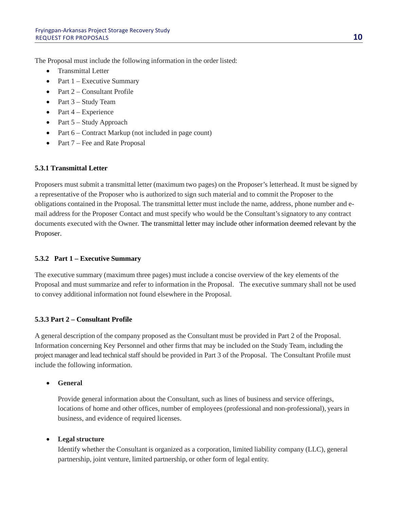The Proposal must include the following information in the order listed:

- Transmittal Letter
- Part 1 Executive Summary
- Part 2 Consultant Profile
- Part 3 Study Team
- Part  $4$  Experience
- Part 5 Study Approach
- Part 6 Contract Markup (not included in page count)
- Part 7 Fee and Rate Proposal

#### **5.3.1 Transmittal Letter**

Proposers must submit a transmittal letter (maximum two pages) on the Proposer's letterhead. It must be signed by a representative of the Proposer who is authorized to sign such material and to commit the Proposer to the obligations contained in the Proposal. The transmittal letter must include the name, address, phone number and email address for the Proposer Contact and must specify who would be the Consultant'ssignatory to any contract documents executed with the Owner. The transmittal letter may include other information deemed relevant by the Proposer.

#### **5.3.2 Part 1 – Executive Summary**

The executive summary (maximum three pages) must include a concise overview of the key elements of the Proposal and must summarize and refer to information in the Proposal. The executive summary shall not be used to convey additional information not found elsewhere in the Proposal.

#### **5.3.3 Part 2 – Consultant Profile**

A general description of the company proposed as the Consultant must be provided in Part 2 of the Proposal. Information concerning Key Personnel and other firmsthat may be included on the Study Team, including the project manager and lead technical staff should be provided in Part 3 of the Proposal. The Consultant Profile must include the following information.

#### • **General**

Provide general information about the Consultant, such as lines of business and service offerings, locations of home and other offices, number of employees (professional and non-professional), years in business, and evidence of required licenses.

#### • **Legal structure**

Identify whether the Consultant is organized as a corporation, limited liability company (LLC), general partnership, joint venture, limited partnership, or other form of legal entity.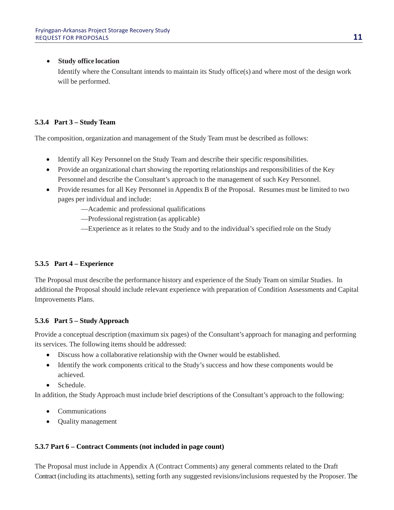#### • **Study office location**

Identify where the Consultant intends to maintain its Study office(s) and where most of the design work will be performed.

#### **5.3.4 Part 3 – Study Team**

The composition, organization and management of the Study Team must be described as follows:

- Identify all Key Personnel on the Study Team and describe their specific responsibilities.
- Provide an organizational chart showing the reporting relationships and responsibilities of the Key Personnel and describe the Consultant's approach to the management of such Key Personnel.
- Provide resumes for all Key Personnel in Appendix B of the Proposal. Resumes must be limited to two pages per individual and include:
	- —Academic and professional qualifications
	- —Professional registration (as applicable)
	- —Experience as it relates to the Study and to the individual's specified role on the Study

#### **5.3.5 Part 4 – Experience**

The Proposal must describe the performance history and experience of the Study Team on similar Studies. In additional the Proposal should include relevant experience with preparation of Condition Assessments and Capital Improvements Plans.

#### **5.3.6 Part 5 – Study Approach**

Provide a conceptual description (maximum six pages) of the Consultant's approach for managing and performing its services. The following items should be addressed:

- Discuss how a collaborative relationship with the Owner would be established.
- Identify the work components critical to the Study's success and how these components would be achieved.
- Schedule

In addition, the Study Approach must include brief descriptions of the Consultant's approach to the following:

- **Communications**
- Quality management

#### **5.3.7 Part 6 – Contract Comments (not included in page count)**

The Proposal must include in Appendix A (Contract Comments) any general comments related to the Draft Contract(including its attachments), setting forth any suggested revisions/inclusions requested by the Proposer. The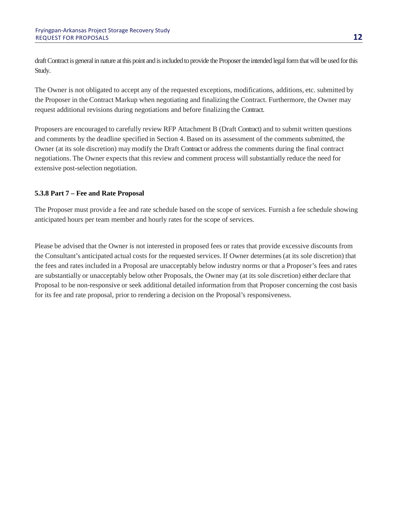draft Contract is general in nature at this point and is included to provide the Proposer the intended legal form that will be used for this Study.

The Owner is not obligated to accept any of the requested exceptions, modifications, additions, etc. submitted by the Proposer in the Contract Markup when negotiating and finalizing the Contract. Furthermore, the Owner may request additional revisions during negotiations and before finalizing the Contract.

Proposers are encouraged to carefully review RFP Attachment B (Draft Contract) and to submit written questions and comments by the deadline specified in Section 4. Based on its assessment of the comments submitted, the Owner (at its sole discretion) may modify the Draft Contract or address the comments during the final contract negotiations. The Owner expects that this review and comment process will substantially reduce the need for extensive post-selection negotiation.

#### **5.3.8 Part 7 – Fee and Rate Proposal**

The Proposer must provide a fee and rate schedule based on the scope of services. Furnish a fee schedule showing anticipated hours per team member and hourly rates for the scope of services.

Please be advised that the Owner is not interested in proposed fees or rates that provide excessive discounts from the Consultant's anticipated actual costs for the requested services. If Owner determines (at its sole discretion) that the fees and rates included in a Proposal are unacceptably below industry norms or that a Proposer's fees and rates are substantially or unacceptably below other Proposals, the Owner may (at its sole discretion) either declare that Proposal to be non-responsive or seek additional detailed information from that Proposer concerning the cost basis for its fee and rate proposal, prior to rendering a decision on the Proposal's responsiveness.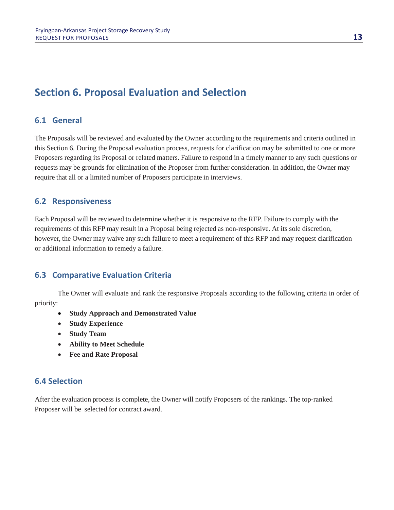# **Section 6. Proposal Evaluation and Selection**

### **6.1 General**

The Proposals will be reviewed and evaluated by the Owner according to the requirements and criteria outlined in this Section 6. During the Proposal evaluation process, requests for clarification may be submitted to one or more Proposers regarding its Proposal or related matters. Failure to respond in a timely manner to any such questions or requests may be grounds for elimination of the Proposer from further consideration. In addition, the Owner may require that all or a limited number of Proposers participate in interviews.

#### **6.2 Responsiveness**

Each Proposal will be reviewed to determine whether it is responsive to the RFP. Failure to comply with the requirements of this RFP may result in a Proposal being rejected as non-responsive. At its sole discretion, however, the Owner may waive any such failure to meet a requirement of this RFP and may request clarification or additional information to remedy a failure.

#### **6.3 Comparative Evaluation Criteria**

The Owner will evaluate and rank the responsive Proposals according to the following criteria in order of priority:

- **Study Approach and Demonstrated Value**
- **Study Experience**
- **Study Team**
- **Ability to Meet Schedule**
- **Fee and Rate Proposal**

#### **6.4 Selection**

After the evaluation process is complete, the Owner will notify Proposers of the rankings. The top-ranked Proposer will be selected for contract award.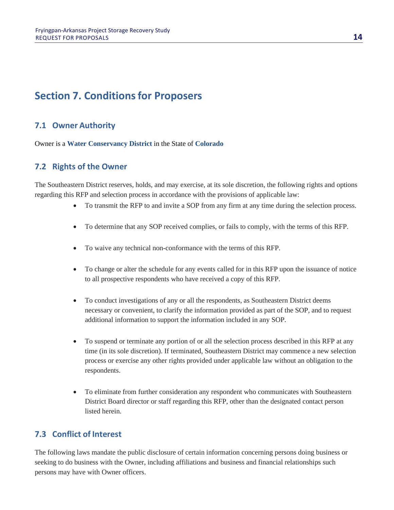# **Section 7. Conditions for Proposers**

# **7.1 Owner Authority**

Owner is a **Water Conservancy District** in the State of **Colorado**

## **7.2 Rights of the Owner**

The Southeastern District reserves, holds, and may exercise, at its sole discretion, the following rights and options regarding this RFP and selection process in accordance with the provisions of applicable law:

- To transmit the RFP to and invite a SOP from any firm at any time during the selection process.
- To determine that any SOP received complies, or fails to comply, with the terms of this RFP.
- To waive any technical non-conformance with the terms of this RFP.
- To change or alter the schedule for any events called for in this RFP upon the issuance of notice to all prospective respondents who have received a copy of this RFP.
- To conduct investigations of any or all the respondents, as Southeastern District deems necessary or convenient, to clarify the information provided as part of the SOP, and to request additional information to support the information included in any SOP.
- To suspend or terminate any portion of or all the selection process described in this RFP at any time (in its sole discretion). If terminated, Southeastern District may commence a new selection process or exercise any other rights provided under applicable law without an obligation to the respondents.
- To eliminate from further consideration any respondent who communicates with Southeastern District Board director or staff regarding this RFP, other than the designated contact person listed herein.

## **7.3 Conflict of Interest**

The following laws mandate the public disclosure of certain information concerning persons doing business or seeking to do business with the Owner, including affiliations and business and financial relationships such persons may have with Owner officers.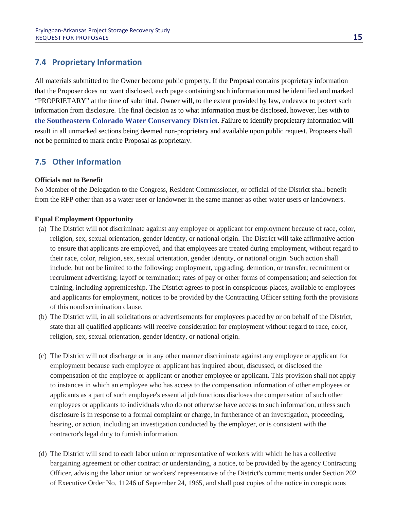## **7.4 Proprietary Information**

All materials submitted to the Owner become public property**.** If the Proposal contains proprietary information that the Proposer does not want disclosed, each page containing such information must be identified and marked "PROPRIETARY" at the time of submittal. Owner will, to the extent provided by law, endeavor to protect such information from disclosure. The final decision as to what information must be disclosed, however, lies with to **the Southeastern Colorado Water Conservancy District**. Failure to identify proprietary information will result in all unmarked sections being deemed non-proprietary and available upon public request. Proposers shall not be permitted to mark entire Proposal as proprietary.

# **7.5 Other Information**

#### **Officials not to Benefit**

No Member of the Delegation to the Congress, Resident Commissioner, or official of the District shall benefit from the RFP other than as a water user or landowner in the same manner as other water users or landowners.

#### **Equal Employment Opportunity**

- (a) The District will not discriminate against any employee or applicant for employment because of race, color, religion, sex, sexual orientation, gender identity, or national origin. The District will take affirmative action to ensure that applicants are employed, and that employees are treated during employment, without regard to their race, color, religion, sex, sexual orientation, gender identity, or national origin. Such action shall include, but not be limited to the following: employment, upgrading, demotion, or transfer; recruitment or recruitment advertising; layoff or termination; rates of pay or other forms of compensation; and selection for training, including apprenticeship. The District agrees to post in conspicuous places, available to employees and applicants for employment, notices to be provided by the Contracting Officer setting forth the provisions of this nondiscrimination clause.
- (b) The District will, in all solicitations or advertisements for employees placed by or on behalf of the District, state that all qualified applicants will receive consideration for employment without regard to race, color, religion, sex, sexual orientation, gender identity, or national origin.
- (c) The District will not discharge or in any other manner discriminate against any employee or applicant for employment because such employee or applicant has inquired about, discussed, or disclosed the compensation of the employee or applicant or another employee or applicant. This provision shall not apply to instances in which an employee who has access to the compensation information of other employees or applicants as a part of such employee's essential job functions discloses the compensation of such other employees or applicants to individuals who do not otherwise have access to such information, unless such disclosure is in response to a formal complaint or charge, in furtherance of an investigation, proceeding, hearing, or action, including an investigation conducted by the employer, or is consistent with the contractor's legal duty to furnish information.
- (d) The District will send to each labor union or representative of workers with which he has a collective bargaining agreement or other contract or understanding, a notice, to be provided by the agency Contracting Officer, advising the labor union or workers' representative of the District's commitments under Section 202 of Executive Order No. 11246 of September 24, 1965, and shall post copies of the notice in conspicuous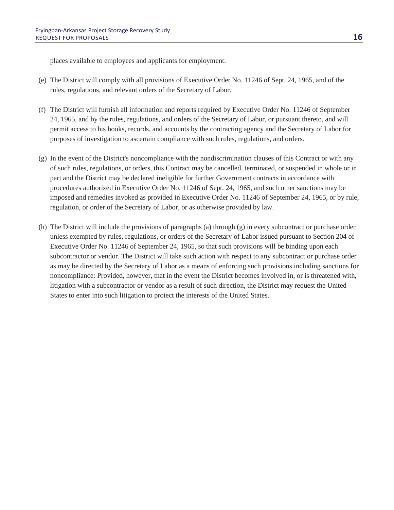places available to employees and applicants for employment.

- (e) The District will comply with all provisions of Executive Order No. 11246 of Sept. 24, 1965, and of the rules, regulations, and relevant orders of the Secretary of Labor.
- (f) The District will furnish all information and reports required by Executive Order No. 11246 of September 24, 1965, and by the rules, regulations, and orders of the Secretary of Labor, or pursuant thereto, and will permit access to his books, records, and accounts by the contracting agency and the Secretary of Labor for purposes of investigation to ascertain compliance with such rules, regulations, and orders.
- (g) In the event of the District's noncompliance with the nondiscrimination clauses of this Contract or with any of such rules, regulations, or orders, this Contract may be cancelled, terminated, or suspended in whole or in part and the District may be declared ineligible for further Government contracts in accordance with procedures authorized in Executive Order No. 11246 of Sept. 24, 1965, and such other sanctions may be imposed and remedies invoked as provided in Executive Order No. 11246 of September 24, 1965, or by rule, regulation, or order of the Secretary of Labor, or as otherwise provided by law.
- (h) The District will include the provisions of paragraphs (a) through (g) in every subcontract or purchase order unless exempted by rules, regulations, or orders of the Secretary of Labor issued pursuant to Section 204 of Executive Order No. 11246 of September 24, 1965, so that such provisions will be binding upon each subcontractor or vendor. The District will take such action with respect to any subcontract or purchase order as may be directed by the Secretary of Labor as a means of enforcing such provisions including sanctions for noncompliance: Provided, however, that in the event the District becomes involved in, or is threatened with, litigation with a subcontractor or vendor as a result of such direction, the District may request the United States to enter into such litigation to protect the interests of the United States.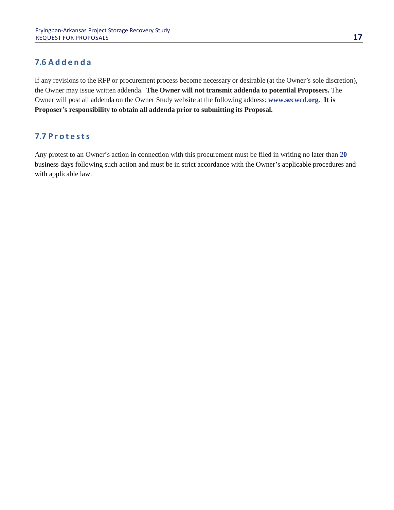# **7.6 Addenda**

If any revisions to the RFP or procurement process become necessary or desirable (at the Owner's sole discretion), the Owner may issue written addenda. **The Owner will not transmit addenda to potential Proposers.** The Owner will post all addenda on the Owner Study website at the following address: **www.secwcd.org. It is Proposer's responsibility to obtain all addenda prior to submitting its Proposal.**

## **7.7 Protests**

Any protest to an Owner's action in connection with this procurement must be filed in writing no later than **20** business days following such action and must be in strict accordance with the Owner's applicable procedures and with applicable law.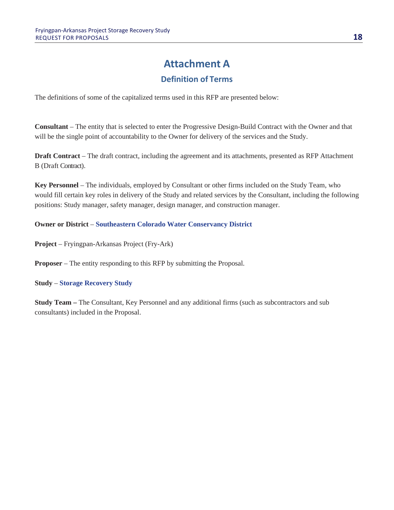# **Attachment A**

# **Definition of Terms**

The definitions of some of the capitalized terms used in this RFP are presented below:

**Consultant** – The entity that is selected to enter the Progressive Design-Build Contract with the Owner and that will be the single point of accountability to the Owner for delivery of the services and the Study.

**Draft Contract** – The draft contract, including the agreement and its attachments, presented as RFP Attachment B (Draft Contract).

**Key Personnel** – The individuals, employed by Consultant or other firms included on the Study Team, who would fill certain key roles in delivery of the Study and related services by the Consultant, including the following positions: Study manager, safety manager, design manager, and construction manager.

#### **Owner or District** – **Southeastern Colorado Water Conservancy District**

**Project** – Fryingpan-Arkansas Project (Fry-Ark)

**Proposer** – The entity responding to this RFP by submitting the Proposal.

#### **Study** – **Storage Recovery Study**

**Study Team –** The Consultant, Key Personnel and any additional firms (such as subcontractors and sub consultants) included in the Proposal.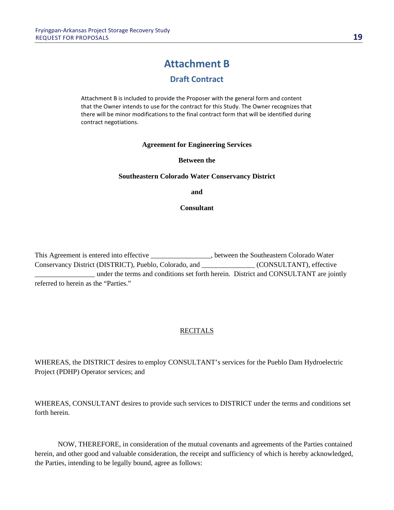# **Attachment B**

# **Draft Contract**

Attachment B is included to provide the Proposer with the general form and content that the Owner intends to use for the contract for this Study. The Owner recognizes that there will be minor modifications to the final contract form that will be identified during contract negotiations.

#### **Agreement for Engineering Services**

#### **Between the**

#### **Southeastern Colorado Water Conservancy District**

**and**

#### **Consultant**

This Agreement is entered into effective \_\_\_\_\_\_\_\_\_\_\_\_\_\_, between the Southeastern Colorado Water Conservancy District (DISTRICT), Pueblo, Colorado, and \_\_\_\_\_\_\_\_\_\_\_\_\_\_\_ (CONSULTANT), effective \_\_\_\_\_\_\_\_\_\_\_\_\_\_\_\_\_ under the terms and conditions set forth herein. District and CONSULTANT are jointly referred to herein as the "Parties."

#### **RECITALS**

WHEREAS, the DISTRICT desires to employ CONSULTANT's services for the Pueblo Dam Hydroelectric Project (PDHP) Operator services; and

WHEREAS, CONSULTANT desires to provide such services to DISTRICT under the terms and conditions set forth herein.

NOW, THEREFORE, in consideration of the mutual covenants and agreements of the Parties contained herein, and other good and valuable consideration, the receipt and sufficiency of which is hereby acknowledged, the Parties, intending to be legally bound, agree as follows: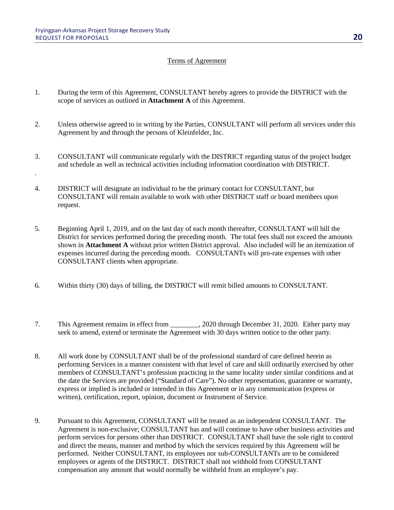.

#### Terms of Agreement

- 1. During the term of this Agreement, CONSULTANT hereby agrees to provide the DISTRICT with the scope of services as outlined in **Attachment A** of this Agreement.
- 2. Unless otherwise agreed to in writing by the Parties, CONSULTANT will perform all services under this Agreement by and through the persons of Kleinfelder, Inc.
- 3. CONSULTANT will communicate regularly with the DISTRICT regarding status of the project budget and schedule as well as technical activities including information coordination with DISTRICT.
- 4. DISTRICT will designate an individual to be the primary contact for CONSULTANT, but CONSULTANT will remain available to work with other DISTRICT staff or board members upon request.
- 5. Beginning April 1, 2019, and on the last day of each month thereafter, CONSULTANT will bill the District for services performed during the preceding month. The total fees shall not exceed the amounts shown in **Attachment A** without prior written District approval. Also included will be an itemization of expenses incurred during the preceding month. CONSULTANTs will pro-rate expenses with other CONSULTANT clients when appropriate.
- 6. Within thirty (30) days of billing, the DISTRICT will remit billed amounts to CONSULTANT.
- 7. This Agreement remains in effect from  $\qquad \qquad$ , 2020 through December 31, 2020. Either party may seek to amend, extend or terminate the Agreement with 30 days written notice to the other party.
- 8. All work done by CONSULTANT shall be of the professional standard of care defined herein as performing Services in a manner consistent with that level of care and skill ordinarily exercised by other members of CONSULTANT's profession practicing in the same locality under similar conditions and at the date the Services are provided ("Standard of Care"). No other representation, guarantee or warranty, express or implied is included or intended in this Agreement or in any communication (express or written), certification, report, opinion, document or Instrument of Service.
- 9. Pursuant to this Agreement, CONSULTANT will be treated as an independent CONSULTANT. The Agreement is non-exclusive; CONSULTANT has and will continue to have other business activities and perform services for persons other than DISTRICT. CONSULTANT shall have the sole right to control and direct the means, manner and method by which the services required by this Agreement will be performed. Neither CONSULTANT, its employees nor sub-CONSULTANTs are to be considered employees or agents of the DISTRICT. DISTRICT shall not withhold from CONSULTANT compensation any amount that would normally be withheld from an employee's pay.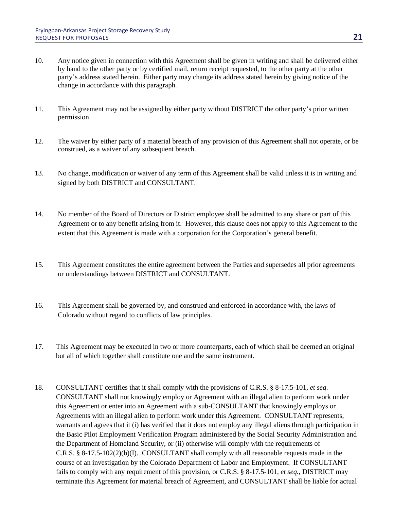- 10. Any notice given in connection with this Agreement shall be given in writing and shall be delivered either by hand to the other party or by certified mail, return receipt requested, to the other party at the other party's address stated herein. Either party may change its address stated herein by giving notice of the change in accordance with this paragraph.
- 11. This Agreement may not be assigned by either party without DISTRICT the other party's prior written permission.
- 12. The waiver by either party of a material breach of any provision of this Agreement shall not operate, or be construed, as a waiver of any subsequent breach.
- 13. No change, modification or waiver of any term of this Agreement shall be valid unless it is in writing and signed by both DISTRICT and CONSULTANT.
- 14. No member of the Board of Directors or District employee shall be admitted to any share or part of this Agreement or to any benefit arising from it. However, this clause does not apply to this Agreement to the extent that this Agreement is made with a corporation for the Corporation's general benefit.
- 15. This Agreement constitutes the entire agreement between the Parties and supersedes all prior agreements or understandings between DISTRICT and CONSULTANT.
- 16. This Agreement shall be governed by, and construed and enforced in accordance with, the laws of Colorado without regard to conflicts of law principles.
- 17. This Agreement may be executed in two or more counterparts, each of which shall be deemed an original but all of which together shall constitute one and the same instrument.
- 18. CONSULTANT certifies that it shall comply with the provisions of C.R.S. § 8-17.5-101, *et seq*. CONSULTANT shall not knowingly employ or Agreement with an illegal alien to perform work under this Agreement or enter into an Agreement with a sub-CONSULTANT that knowingly employs or Agreements with an illegal alien to perform work under this Agreement. CONSULTANT represents, warrants and agrees that it (i) has verified that it does not employ any illegal aliens through participation in the Basic Pilot Employment Verification Program administered by the Social Security Administration and the Department of Homeland Security, or (ii) otherwise will comply with the requirements of C.R.S. § 8-17.5-102(2)(b)(I). CONSULTANT shall comply with all reasonable requests made in the course of an investigation by the Colorado Department of Labor and Employment. If CONSULTANT fails to comply with any requirement of this provision, or C.R.S. § 8-17.5-101, *et seq.*, DISTRICT may terminate this Agreement for material breach of Agreement, and CONSULTANT shall be liable for actual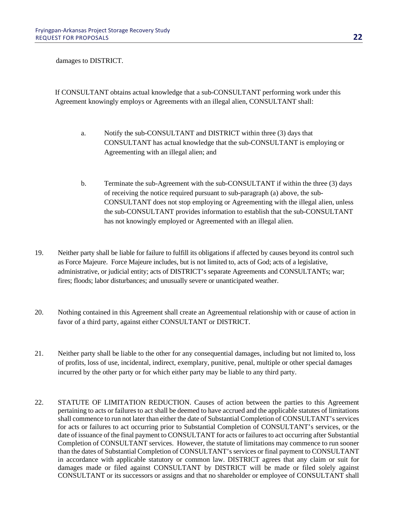damages to DISTRICT.

If CONSULTANT obtains actual knowledge that a sub-CONSULTANT performing work under this Agreement knowingly employs or Agreements with an illegal alien, CONSULTANT shall:

- a. Notify the sub-CONSULTANT and DISTRICT within three (3) days that CONSULTANT has actual knowledge that the sub-CONSULTANT is employing or Agreementing with an illegal alien; and
- b. Terminate the sub-Agreement with the sub-CONSULTANT if within the three (3) days of receiving the notice required pursuant to sub-paragraph (a) above, the sub-CONSULTANT does not stop employing or Agreementing with the illegal alien, unless the sub-CONSULTANT provides information to establish that the sub-CONSULTANT has not knowingly employed or Agreemented with an illegal alien.
- 19. Neither party shall be liable for failure to fulfill its obligations if affected by causes beyond its control such as Force Majeure. Force Majeure includes, but is not limited to, acts of God; acts of a legislative, administrative, or judicial entity; acts of DISTRICT's separate Agreements and CONSULTANTs; war; fires; floods; labor disturbances; and unusually severe or unanticipated weather.
- 20. Nothing contained in this Agreement shall create an Agreementual relationship with or cause of action in favor of a third party, against either CONSULTANT or DISTRICT.
- 21. Neither party shall be liable to the other for any consequential damages, including but not limited to, loss of profits, loss of use, incidental, indirect, exemplary, punitive, penal, multiple or other special damages incurred by the other party or for which either party may be liable to any third party.
- 22. STATUTE OF LIMITATION REDUCTION. Causes of action between the parties to this Agreement pertaining to acts or failures to act shall be deemed to have accrued and the applicable statutes of limitations shall commence to run not later than either the date of Substantial Completion of CONSULTANT's services for acts or failures to act occurring prior to Substantial Completion of CONSULTANT's services, or the date of issuance of the final payment to CONSULTANT for acts or failures to act occurring after Substantial Completion of CONSULTANT services. However, the statute of limitations may commence to run sooner than the dates of Substantial Completion of CONSULTANT's services or final payment to CONSULTANT in accordance with applicable statutory or common law. DISTRICT agrees that any claim or suit for damages made or filed against CONSULTANT by DISTRICT will be made or filed solely against CONSULTANT or its successors or assigns and that no shareholder or employee of CONSULTANT shall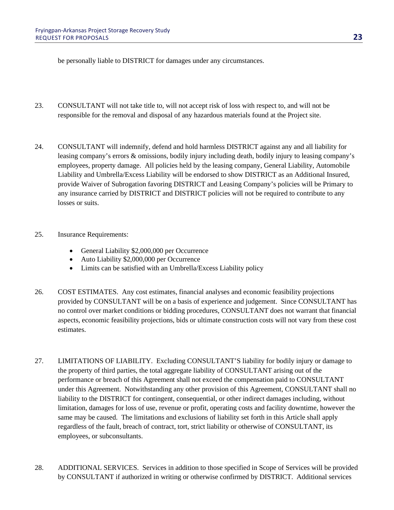be personally liable to DISTRICT for damages under any circumstances.

- 23. CONSULTANT will not take title to, will not accept risk of loss with respect to, and will not be responsible for the removal and disposal of any hazardous materials found at the Project site.
- 24. CONSULTANT will indemnify, defend and hold harmless DISTRICT against any and all liability for leasing company's errors & omissions, bodily injury including death, bodily injury to leasing company's employees, property damage. All policies held by the leasing company, General Liability, Automobile Liability and Umbrella/Excess Liability will be endorsed to show DISTRICT as an Additional Insured, provide Waiver of Subrogation favoring DISTRICT and Leasing Company's policies will be Primary to any insurance carried by DISTRICT and DISTRICT policies will not be required to contribute to any losses or suits.
- 25. Insurance Requirements:
	- General Liability \$2,000,000 per Occurrence
	- Auto Liability \$2,000,000 per Occurrence
	- Limits can be satisfied with an Umbrella/Excess Liability policy
- 26. COST ESTIMATES. Any cost estimates, financial analyses and economic feasibility projections provided by CONSULTANT will be on a basis of experience and judgement. Since CONSULTANT has no control over market conditions or bidding procedures, CONSULTANT does not warrant that financial aspects, economic feasibility projections, bids or ultimate construction costs will not vary from these cost estimates.
- 27. LIMITATIONS OF LIABILITY. Excluding CONSULTANT'S liability for bodily injury or damage to the property of third parties, the total aggregate liability of CONSULTANT arising out of the performance or breach of this Agreement shall not exceed the compensation paid to CONSULTANT under this Agreement. Notwithstanding any other provision of this Agreement, CONSULTANT shall no liability to the DISTRICT for contingent, consequential, or other indirect damages including, without limitation, damages for loss of use, revenue or profit, operating costs and facility downtime, however the same may be caused. The limitations and exclusions of liability set forth in this Article shall apply regardless of the fault, breach of contract, tort, strict liability or otherwise of CONSULTANT, its employees, or subconsultants.
- 28. ADDITIONAL SERVICES. Services in addition to those specified in Scope of Services will be provided by CONSULTANT if authorized in writing or otherwise confirmed by DISTRICT. Additional services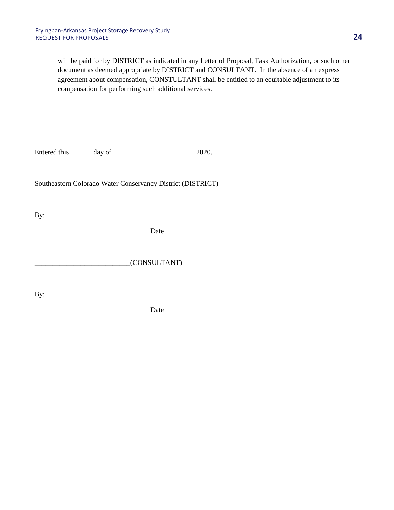will be paid for by DISTRICT as indicated in any Letter of Proposal, Task Authorization, or such other document as deemed appropriate by DISTRICT and CONSULTANT. In the absence of an express agreement about compensation, CONSTULTANT shall be entitled to an equitable adjustment to its compensation for performing such additional services.

Entered this \_\_\_\_\_\_ day of \_\_\_\_\_\_\_\_\_\_\_\_\_\_\_\_\_\_\_\_\_\_\_ 2020.

Southeastern Colorado Water Conservancy District (DISTRICT)

By: \_\_\_\_\_\_\_\_\_\_\_\_\_\_\_\_\_\_\_\_\_\_\_\_\_\_\_\_\_\_\_\_\_\_\_\_\_\_

Date

\_\_\_\_\_\_\_\_\_\_\_\_\_\_\_\_\_\_\_\_\_\_\_\_\_\_\_(CONSULTANT)

By: \_\_\_\_\_\_\_\_\_\_\_\_\_\_\_\_\_\_\_\_\_\_\_\_\_\_\_\_\_\_\_\_\_\_\_\_\_\_

Date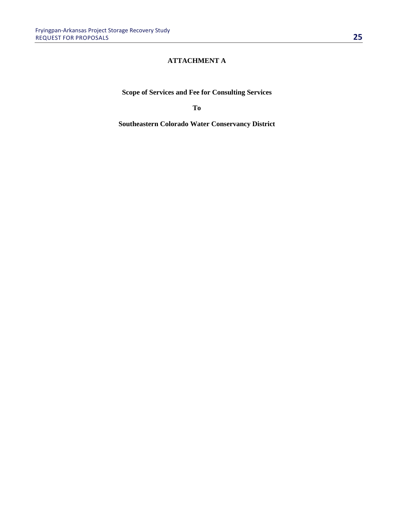## **ATTACHMENT A**

**Scope of Services and Fee for Consulting Services**

**To**

**Southeastern Colorado Water Conservancy District**